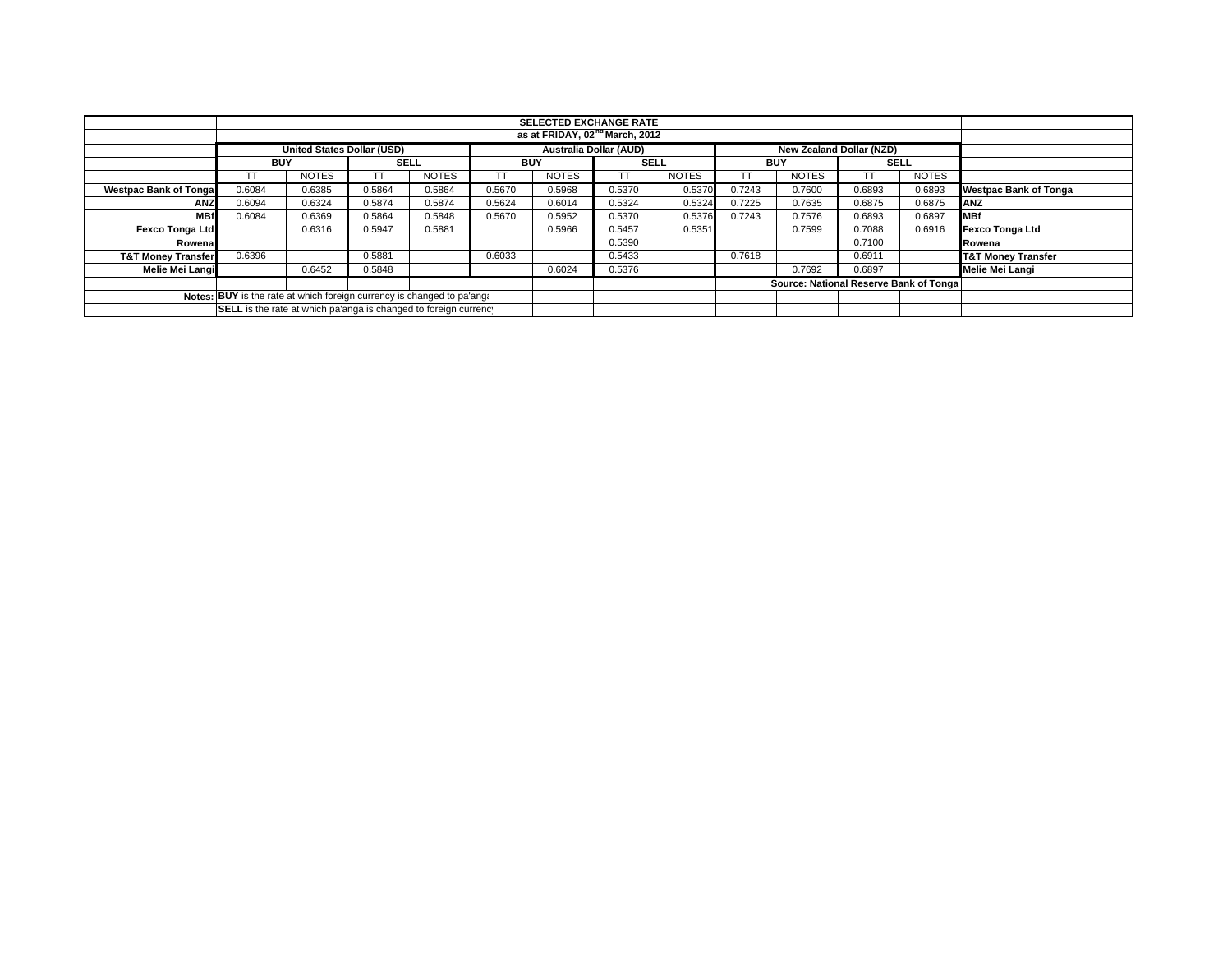|                                                                        | <b>SELECTED EXCHANGE RATE</b>                                           |                                   |             |              |            |                               |             |              |            |                          |                                        |              |                               |
|------------------------------------------------------------------------|-------------------------------------------------------------------------|-----------------------------------|-------------|--------------|------------|-------------------------------|-------------|--------------|------------|--------------------------|----------------------------------------|--------------|-------------------------------|
|                                                                        | as at FRIDAY, 02 <sup>nd</sup> March, 2012                              |                                   |             |              |            |                               |             |              |            |                          |                                        |              |                               |
|                                                                        |                                                                         | <b>United States Dollar (USD)</b> |             |              |            | <b>Australia Dollar (AUD)</b> |             |              |            | New Zealand Dollar (NZD) |                                        |              |                               |
|                                                                        | <b>BUY</b>                                                              |                                   | <b>SELL</b> |              | <b>BUY</b> |                               | <b>SELL</b> |              | <b>BUY</b> |                          | <b>SELL</b>                            |              |                               |
|                                                                        |                                                                         | <b>NOTES</b>                      |             | <b>NOTES</b> |            | <b>NOTES</b>                  |             | <b>NOTES</b> | ТT         | <b>NOTES</b>             |                                        | <b>NOTES</b> |                               |
| <b>Westpac Bank of Tongal</b>                                          | 0.6084                                                                  | 0.6385                            | 0.5864      | 0.5864       | 0.5670     | 0.5968                        | 0.5370      | 0.5370       | 0.7243     | 0.7600                   | 0.6893                                 | 0.6893       | <b>Westpac Bank of Tonga</b>  |
| <b>ANZ</b>                                                             | 0.6094                                                                  | 0.6324                            | 0.5874      | 0.5874       | 0.5624     | 0.6014                        | 0.5324      | 0.5324       | 0.7225     | 0.7635                   | 0.6875                                 | 0.6875       | <b>ANZ</b>                    |
| <b>MBf</b>                                                             | 0.6084                                                                  | 0.6369                            | 0.5864      | 0.5848       | 0.5670     | 0.5952                        | 0.5370      | 0.5376       | 0.7243     | 0.7576                   | 0.6893                                 | 0.6897       | <b>MBf</b>                    |
| <b>Fexco Tonga Ltd</b>                                                 |                                                                         | 0.6316                            | 0.5947      | 0.5881       |            | 0.5966                        | 0.5457      | 0.5351       |            | 0.7599                   | 0.7088                                 | 0.6916       | Fexco Tonga Ltd               |
| Rowena                                                                 |                                                                         |                                   |             |              |            |                               | 0.5390      |              |            |                          | 0.7100                                 |              | Rowena                        |
| <b>T&amp;T Money Transfer</b>                                          | 0.6396                                                                  |                                   | 0.5881      |              | 0.6033     |                               | 0.5433      |              | 0.7618     |                          | 0.6911                                 |              | <b>T&amp;T Money Transfer</b> |
| Melie Mei Langi                                                        |                                                                         | 0.6452                            | 0.5848      |              |            | 0.6024                        | 0.5376      |              |            | 0.7692                   | 0.6897                                 |              | Melie Mei Langi               |
|                                                                        |                                                                         |                                   |             |              |            |                               |             |              |            |                          | Source: National Reserve Bank of Tonga |              |                               |
| Notes: BUY is the rate at which foreign currency is changed to pa'ang. |                                                                         |                                   |             |              |            |                               |             |              |            |                          |                                        |              |                               |
|                                                                        | <b>SELL</b> is the rate at which pa'anga is changed to foreign currency |                                   |             |              |            |                               |             |              |            |                          |                                        |              |                               |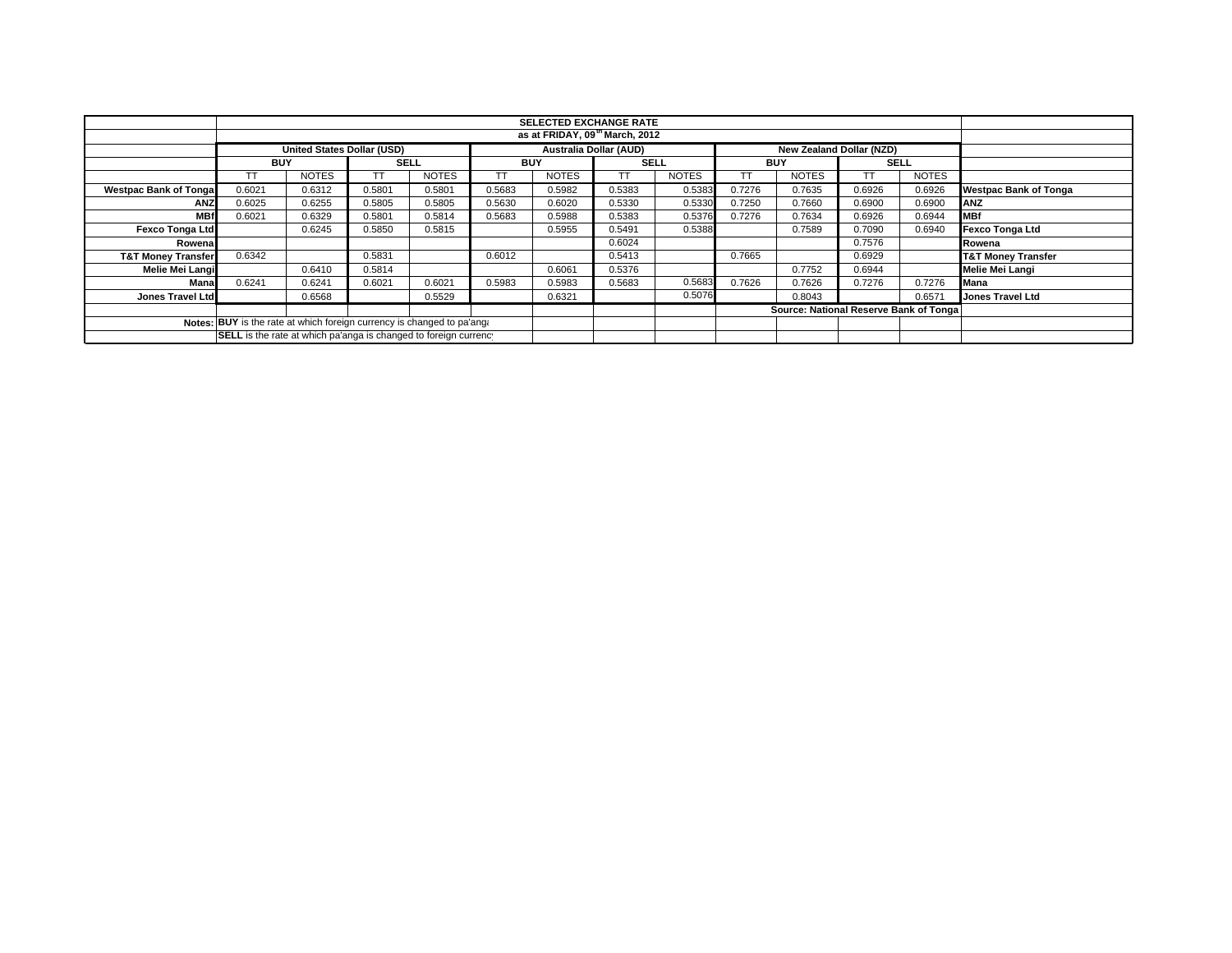|                                                                        |                                                                  |                            |             |              |            | <b>SELECTED EXCHANGE RATE</b> |             |              |            |                                        |             |              |                               |
|------------------------------------------------------------------------|------------------------------------------------------------------|----------------------------|-------------|--------------|------------|-------------------------------|-------------|--------------|------------|----------------------------------------|-------------|--------------|-------------------------------|
|                                                                        | as at FRIDAY, 09th March, 2012                                   |                            |             |              |            |                               |             |              |            |                                        |             |              |                               |
|                                                                        |                                                                  | United States Dollar (USD) |             |              |            | <b>Australia Dollar (AUD)</b> |             |              |            | <b>New Zealand Dollar (NZD)</b>        |             |              |                               |
|                                                                        | <b>BUY</b>                                                       |                            | <b>SELL</b> |              | <b>BUY</b> |                               | <b>SELL</b> |              | <b>BUY</b> |                                        | <b>SELL</b> |              |                               |
|                                                                        |                                                                  | <b>NOTES</b>               |             | <b>NOTES</b> |            | <b>NOTES</b>                  | TТ          | <b>NOTES</b> | TT         | <b>NOTES</b>                           |             | <b>NOTES</b> |                               |
| <b>Westpac Bank of Tonga</b>                                           | 0.6021                                                           | 0.6312                     | 0.5801      | 0.5801       | 0.5683     | 0.5982                        | 0.5383      | 0.5383       | 0.7276     | 0.7635                                 | 0.6926      | 0.6926       | <b>Westpac Bank of Tonga</b>  |
| <b>ANZ</b>                                                             | 0.6025                                                           | 0.6255                     | 0.5805      | 0.5805       | 0.5630     | 0.6020                        | 0.5330      | 0.5330       | 0.7250     | 0.7660                                 | 0.6900      | 0.6900       | ANZ                           |
| <b>MBf</b>                                                             | 0.6021                                                           | 0.6329                     | 0.5801      | 0.5814       | 0.5683     | 0.5988                        | 0.5383      | 0.5376       | 0.7276     | 0.7634                                 | 0.6926      | 0.6944       | <b>MBf</b>                    |
| <b>Fexco Tonga Ltd</b>                                                 |                                                                  | 0.6245                     | 0.5850      | 0.5815       |            | 0.5955                        | 0.5491      | 0.5388       |            | 0.7589                                 | 0.7090      | 0.6940       | Fexco Tonga Ltd               |
| Rowena                                                                 |                                                                  |                            |             |              |            |                               | 0.6024      |              |            |                                        | 0.7576      |              | Rowena                        |
| <b>T&amp;T Money Transfer</b>                                          | 0.6342                                                           |                            | 0.5831      |              | 0.6012     |                               | 0.5413      |              | 0.7665     |                                        | 0.6929      |              | <b>T&amp;T Money Transfer</b> |
| Melie Mei Langi                                                        |                                                                  | 0.6410                     | 0.5814      |              |            | 0.6061                        | 0.5376      |              |            | 0.7752                                 | 0.6944      |              | Melie Mei Langi               |
| Mana                                                                   | 0.6241                                                           | 0.6241                     | 0.6021      | 0.6021       | 0.5983     | 0.5983                        | 0.5683      | 0.5683       | 0.7626     | 0.7626                                 | 0.7276      | 0.7276       | <b>Mana</b>                   |
| <b>Jones Travel Ltd</b>                                                |                                                                  | 0.6568                     |             | 0.5529       |            | 0.6321                        |             | 0.5076       |            | 0.8043                                 |             | 0.6571       | <b>Jones Travel Ltd</b>       |
|                                                                        |                                                                  |                            |             |              |            |                               |             |              |            | Source: National Reserve Bank of Tonga |             |              |                               |
| Notes: BUY is the rate at which foreign currency is changed to pa'ang: |                                                                  |                            |             |              |            |                               |             |              |            |                                        |             |              |                               |
|                                                                        | SELL is the rate at which pa'anga is changed to foreign currency |                            |             |              |            |                               |             |              |            |                                        |             |              |                               |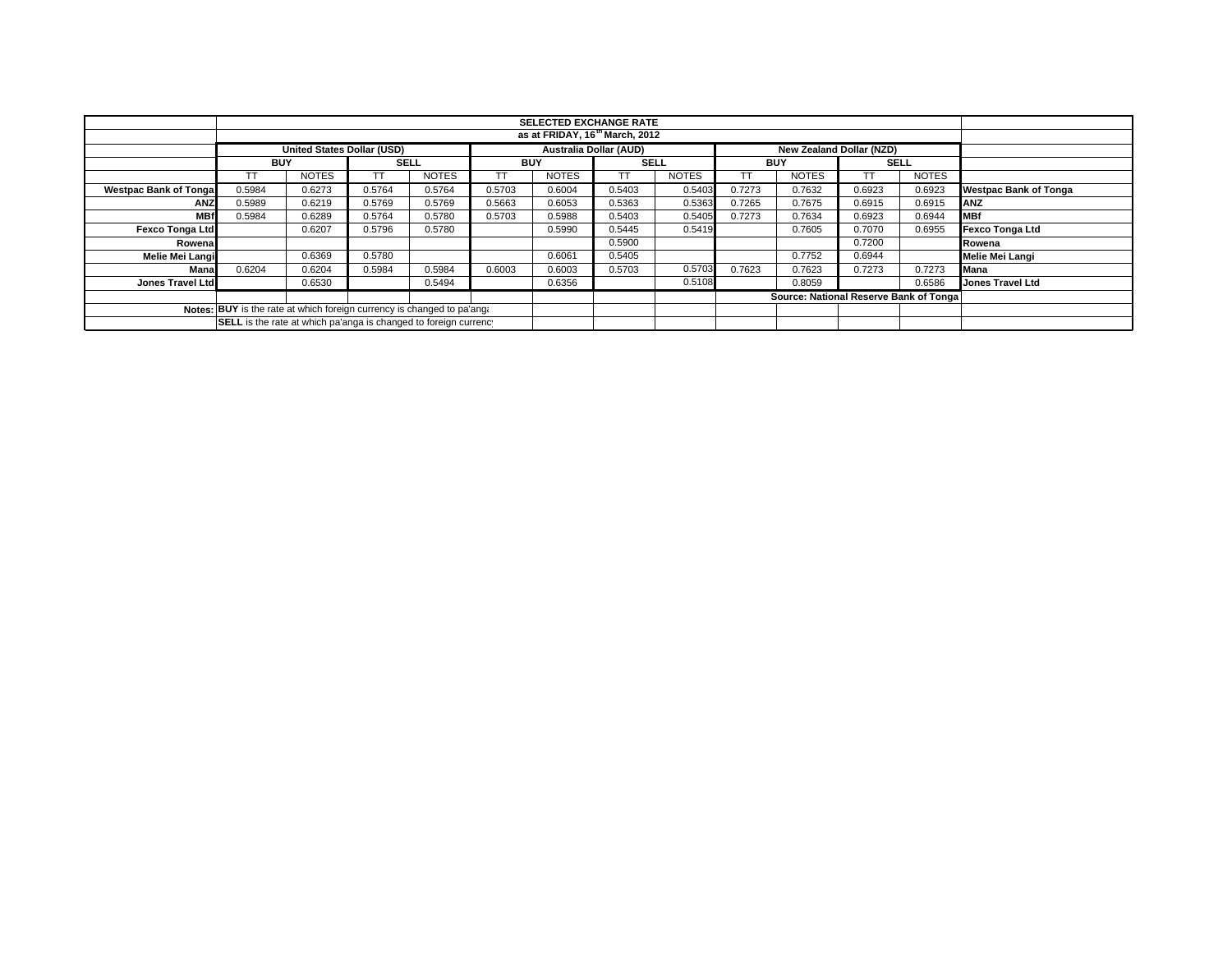|                                                                        |                                                                  |                                   |             |              |            |                               | <b>SELECTED EXCHANGE RATE</b> |              |            |                                        |             |              |                              |
|------------------------------------------------------------------------|------------------------------------------------------------------|-----------------------------------|-------------|--------------|------------|-------------------------------|-------------------------------|--------------|------------|----------------------------------------|-------------|--------------|------------------------------|
|                                                                        | as at FRIDAY, 16 <sup>th</sup> March, 2012                       |                                   |             |              |            |                               |                               |              |            |                                        |             |              |                              |
|                                                                        |                                                                  | <b>United States Dollar (USD)</b> |             |              |            | <b>Australia Dollar (AUD)</b> |                               |              |            | New Zealand Dollar (NZD)               |             |              |                              |
|                                                                        | <b>BUY</b>                                                       |                                   | <b>SELL</b> |              | <b>BUY</b> |                               | <b>SELL</b>                   |              | <b>BUY</b> |                                        | <b>SELL</b> |              |                              |
|                                                                        |                                                                  | <b>NOTES</b>                      |             | <b>NOTES</b> |            | <b>NOTES</b>                  |                               | <b>NOTES</b> |            | <b>NOTES</b>                           | TT          | <b>NOTES</b> |                              |
| <b>Westpac Bank of Tongal</b>                                          | 0.5984                                                           | 0.6273                            | 0.5764      | 0.5764       | 0.5703     | 0.6004                        | 0.5403                        | 0.5403       | 0.7273     | 0.7632                                 | 0.6923      | 0.6923       | <b>Westpac Bank of Tonga</b> |
| <b>ANZ</b>                                                             | 0.5989                                                           | 0.6219                            | 0.5769      | 0.5769       | 0.5663     | 0.6053                        | 0.5363                        | 0.5363       | 0.7265     | 0.7675                                 | 0.6915      | 0.6915       | ANZ                          |
| <b>MBf</b>                                                             | 0.5984                                                           | 0.6289                            | 0.5764      | 0.5780       | 0.5703     | 0.5988                        | 0.5403                        | 0.5405       | 0.7273     | 0.7634                                 | 0.6923      | 0.6944       | <b>MBf</b>                   |
| <b>Fexco Tonga Ltd</b>                                                 |                                                                  | 0.6207                            | 0.5796      | 0.5780       |            | 0.5990                        | 0.5445                        | 0.5419       |            | 0.7605                                 | 0.7070      | 0.6955       | <b>Fexco Tonga Ltd</b>       |
| Rowenal                                                                |                                                                  |                                   |             |              |            |                               | 0.5900                        |              |            |                                        | 0.7200      |              | Rowena                       |
| Melie Mei Langi                                                        |                                                                  | 0.6369                            | 0.5780      |              |            | 0.6061                        | 0.5405                        |              |            | 0.7752                                 | 0.6944      |              | Melie Mei Langi              |
| Mana                                                                   | 0.6204                                                           | 0.6204                            | 0.5984      | 0.5984       | 0.6003     | 0.6003                        | 0.5703                        | 0.5703       | 0.7623     | 0.7623                                 | 0.7273      | 0.7273       | Mana                         |
| Jones Travel Ltd                                                       |                                                                  | 0.6530                            |             | 0.5494       |            | 0.6356                        |                               | 0.5108       |            | 0.8059                                 |             | 0.6586       | <b>Jones Travel Ltd</b>      |
|                                                                        |                                                                  |                                   |             |              |            |                               |                               |              |            | Source: National Reserve Bank of Tonga |             |              |                              |
| Notes: BUY is the rate at which foreign currency is changed to pa'ang: |                                                                  |                                   |             |              |            |                               |                               |              |            |                                        |             |              |                              |
|                                                                        | SELL is the rate at which pa'anga is changed to foreign currency |                                   |             |              |            |                               |                               |              |            |                                        |             |              |                              |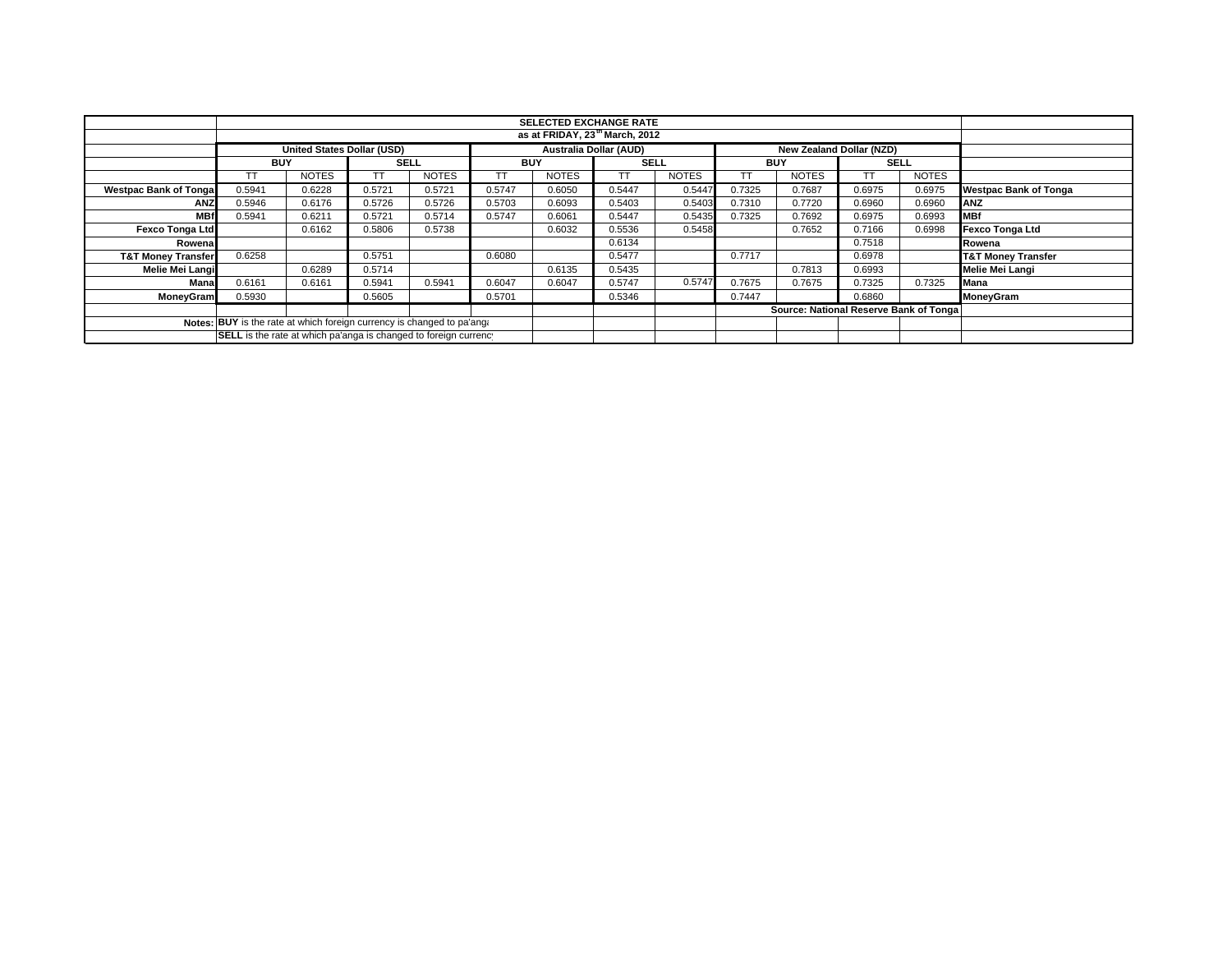|                               |                                                                        |              |             |              |            | <b>SELECTED EXCHANGE RATE</b> |                               |              |                          |                                        |             |              |                               |
|-------------------------------|------------------------------------------------------------------------|--------------|-------------|--------------|------------|-------------------------------|-------------------------------|--------------|--------------------------|----------------------------------------|-------------|--------------|-------------------------------|
|                               | as at FRIDAY, 23 <sup>th</sup> March, 2012                             |              |             |              |            |                               |                               |              |                          |                                        |             |              |                               |
|                               | <b>United States Dollar (USD)</b>                                      |              |             |              |            |                               | <b>Australia Dollar (AUD)</b> |              | New Zealand Dollar (NZD) |                                        |             |              |                               |
|                               | <b>BUY</b>                                                             |              | <b>SELL</b> |              | <b>BUY</b> |                               | <b>SELL</b>                   |              | <b>BUY</b>               |                                        | <b>SELL</b> |              |                               |
|                               |                                                                        | <b>NOTES</b> | TΤ          | <b>NOTES</b> |            | <b>NOTES</b>                  | TТ                            | <b>NOTES</b> | TT                       | <b>NOTES</b>                           |             | <b>NOTES</b> |                               |
| <b>Westpac Bank of Tonga</b>  | 0.5941                                                                 | 0.6228       | 0.5721      | 0.5721       | 0.5747     | 0.6050                        | 0.5447                        | 0.5447       | 0.7325                   | 0.7687                                 | 0.6975      | 0.6975       | <b>Westpac Bank of Tonga</b>  |
| <b>ANZ</b>                    | 0.5946                                                                 | 0.6176       | 0.5726      | 0.5726       | 0.5703     | 0.6093                        | 0.5403                        | 0.5403       | 0.7310                   | 0.7720                                 | 0.6960      | 0.6960       | ANZ                           |
| <b>MBf</b>                    | 0.5941                                                                 | 0.6211       | 0.5721      | 0.5714       | 0.5747     | 0.6061                        | 0.5447                        | 0.5435       | 0.7325                   | 0.7692                                 | 0.6975      | 0.6993       | <b>MBf</b>                    |
| <b>Fexco Tonga Ltd</b>        |                                                                        | 0.6162       | 0.5806      | 0.5738       |            | 0.6032                        | 0.5536                        | 0.5458       |                          | 0.7652                                 | 0.7166      | 0.6998       | Fexco Tonga Ltd               |
| Rowena                        |                                                                        |              |             |              |            |                               | 0.6134                        |              |                          |                                        | 0.7518      |              | Rowena                        |
| <b>T&amp;T Money Transfer</b> | 0.6258                                                                 |              | 0.5751      |              | 0.6080     |                               | 0.5477                        |              | 0.7717                   |                                        | 0.6978      |              | <b>T&amp;T Money Transfer</b> |
| Melie Mei Langi               |                                                                        | 0.6289       | 0.5714      |              |            | 0.6135                        | 0.5435                        |              |                          | 0.7813                                 | 0.6993      |              | Melie Mei Langi               |
| Mana                          | 0.6161                                                                 | 0.6161       | 0.5941      | 0.5941       | 0.6047     | 0.6047                        | 0.5747                        | 0.5747       | 0.7675                   | 0.7675                                 | 0.7325      | 0.7325       | <b>Mana</b>                   |
| <b>MoneyGram</b>              | 0.5930                                                                 |              | 0.5605      |              | 0.5701     |                               | 0.5346                        |              | 0.7447                   |                                        | 0.6860      |              | MoneyGram                     |
|                               |                                                                        |              |             |              |            |                               |                               |              |                          | Source: National Reserve Bank of Tonga |             |              |                               |
|                               | Notes: BUY is the rate at which foreign currency is changed to pa'ang: |              |             |              |            |                               |                               |              |                          |                                        |             |              |                               |
|                               | SELL is the rate at which pa'anga is changed to foreign currency       |              |             |              |            |                               |                               |              |                          |                                        |             |              |                               |